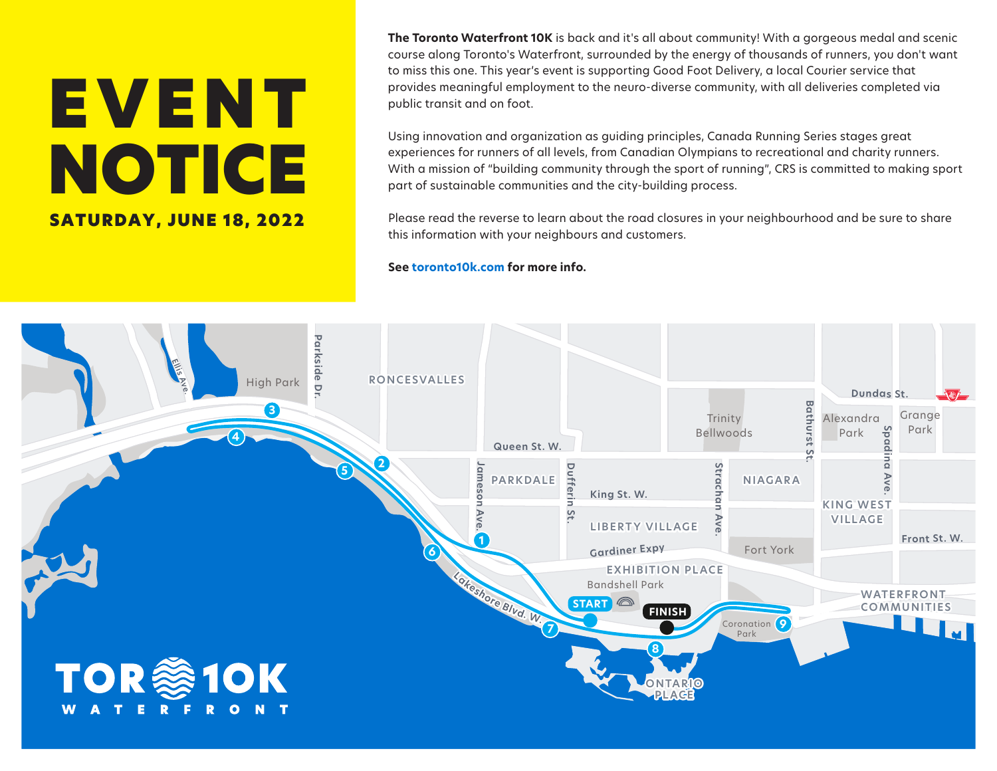## EVENT NOTICE SATURDAY, JUNE 18, 2022

**The Toronto Waterfront 10K** is back and it's all about community! With a gorgeous medal and scenic course along Toronto's Waterfront, surrounded by the energy of thousands of runners, you don't want to miss this one. This year's event is supporting Good Foot Delivery, a local Courier service that provides meaningful employment to the neuro-diverse community, with all deliveries completed via public transit and on foot.

Using innovation and organization as guiding principles, Canada Running Series stages great experiences for runners of all levels, from Canadian Olympians to recreational and charity runners. With a mission of "building community through the sport of running", CRS is committed to making sport part of sustainable communities and the city-building process.

Please read the reverse to learn about the road closures in your neighbourhood and be sure to share this information with your neighbours and customers.

## **See toronto10k.com for more info.**